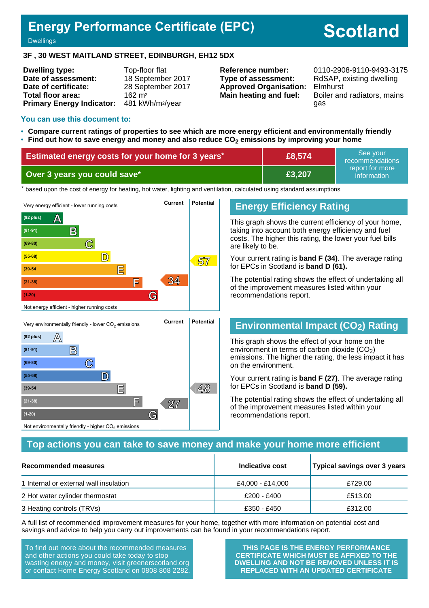# **Energy Performance Certificate (EPC)**

# **Scotland**

Dwellings

#### **3F , 30 WEST MAITLAND STREET, EDINBURGH, EH12 5DX**

**Dwelling type:** Top-floor flat **Date of assessment:** 18 September 2017 **Date of certificate:** 28 September 2017 **Total floor area:** 162 m<sup>2</sup> **Primary Energy Indicator:** 481 kWh/m2/year

**Type of assessment:** RdSAP, existing dwelling **Approved Organisation:** Elmhurst

**Reference number:** 0110-2908-9110-9493-3175 **Main heating and fuel:** Boiler and radiators, mains gas

#### **You can use this document to:**

- **Compare current ratings of properties to see which are more energy efficient and environmentally friendly**
- **Find out how to save energy and money and also reduce CO2 emissions by improving your home**

| Estimated energy costs for your home for 3 years* | £8,574        | See vour<br>recommendations                 |  |
|---------------------------------------------------|---------------|---------------------------------------------|--|
| Over 3 years you could save*                      | <b>E3.207</b> | report for more<br>information <sup>1</sup> |  |

the based upon the cost of energy for heating, hot water, lighting and ventilation, calculated using standard assumptions



# **Energy Efficiency Rating**

This graph shows the current efficiency of your home, taking into account both energy efficiency and fuel costs. The higher this rating, the lower your fuel bills are likely to be.

Your current rating is **band F (34)**. The average rating for EPCs in Scotland is **band D (61).**

The potential rating shows the effect of undertaking all of the improvement measures listed within your recommendations report.

# **Environmental Impact (CO2) Rating**

This graph shows the effect of your home on the environment in terms of carbon dioxide  $(CO<sub>2</sub>)$ emissions. The higher the rating, the less impact it has on the environment.

Your current rating is **band F (27)**. The average rating for EPCs in Scotland is **band D (59).**

The potential rating shows the effect of undertaking all of the improvement measures listed within your recommendations report.

#### **Top actions you can take to save money and make your home more efficient**

| Recommended measures                   | Indicative cost  | Typical savings over 3 years |
|----------------------------------------|------------------|------------------------------|
| 1 Internal or external wall insulation | £4,000 - £14,000 | £729.00                      |
| 2 Hot water cylinder thermostat        | £200 - £400      | £513.00                      |
| 3 Heating controls (TRVs)              | £350 - £450      | £312.00                      |

A full list of recommended improvement measures for your home, together with more information on potential cost and savings and advice to help you carry out improvements can be found in your recommendations report.

To find out more about the recommended measures and other actions you could take today to stop wasting energy and money, visit greenerscotland.org or contact Home Energy Scotland on 0808 808 2282.

**THIS PAGE IS THE ENERGY PERFORMANCE CERTIFICATE WHICH MUST BE AFFIXED TO THE DWELLING AND NOT BE REMOVED UNLESS IT IS REPLACED WITH AN UPDATED CERTIFICATE**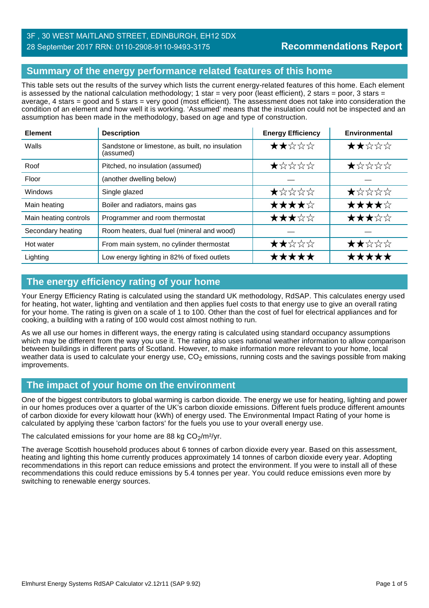## **Summary of the energy performance related features of this home**

This table sets out the results of the survey which lists the current energy-related features of this home. Each element is assessed by the national calculation methodology; 1 star = very poor (least efficient), 2 stars = poor, 3 stars = average, 4 stars = good and 5 stars = very good (most efficient). The assessment does not take into consideration the condition of an element and how well it is working. 'Assumed' means that the insulation could not be inspected and an assumption has been made in the methodology, based on age and type of construction.

| <b>Element</b>        | <b>Description</b>                                           | <b>Energy Efficiency</b> | Environmental |
|-----------------------|--------------------------------------------------------------|--------------------------|---------------|
| Walls                 | Sandstone or limestone, as built, no insulation<br>(assumed) | ★★☆☆☆                    | ★★☆☆☆         |
| Roof                  | Pitched, no insulation (assumed)                             | $\bigstar$ * * * * *     | *****         |
| Floor                 | (another dwelling below)                                     |                          |               |
| <b>Windows</b>        | Single glazed                                                | ★☆☆☆☆                    | ★☆☆☆☆         |
| Main heating          | Boiler and radiators, mains gas                              | ★★★★☆                    | ★★★★☆         |
| Main heating controls | Programmer and room thermostat                               | ★★★☆☆                    | ★★★☆☆         |
| Secondary heating     | Room heaters, dual fuel (mineral and wood)                   |                          |               |
| Hot water             | From main system, no cylinder thermostat                     | ★★☆☆☆                    | ★★☆☆☆         |
| Lighting              | Low energy lighting in 82% of fixed outlets                  | *****                    | *****         |

# **The energy efficiency rating of your home**

Your Energy Efficiency Rating is calculated using the standard UK methodology, RdSAP. This calculates energy used for heating, hot water, lighting and ventilation and then applies fuel costs to that energy use to give an overall rating for your home. The rating is given on a scale of 1 to 100. Other than the cost of fuel for electrical appliances and for cooking, a building with a rating of 100 would cost almost nothing to run.

As we all use our homes in different ways, the energy rating is calculated using standard occupancy assumptions which may be different from the way you use it. The rating also uses national weather information to allow comparison between buildings in different parts of Scotland. However, to make information more relevant to your home, local weather data is used to calculate your energy use,  $CO<sub>2</sub>$  emissions, running costs and the savings possible from making improvements.

#### **The impact of your home on the environment**

One of the biggest contributors to global warming is carbon dioxide. The energy we use for heating, lighting and power in our homes produces over a quarter of the UK's carbon dioxide emissions. Different fuels produce different amounts of carbon dioxide for every kilowatt hour (kWh) of energy used. The Environmental Impact Rating of your home is calculated by applying these 'carbon factors' for the fuels you use to your overall energy use.

The calculated emissions for your home are 88 kg  $CO<sub>2</sub>/m<sup>2</sup>/yr$ .

The average Scottish household produces about 6 tonnes of carbon dioxide every year. Based on this assessment, heating and lighting this home currently produces approximately 14 tonnes of carbon dioxide every year. Adopting recommendations in this report can reduce emissions and protect the environment. If you were to install all of these recommendations this could reduce emissions by 5.4 tonnes per year. You could reduce emissions even more by switching to renewable energy sources.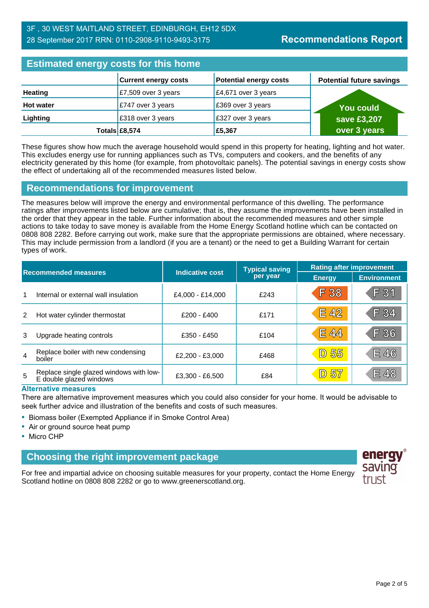| <b>Estimated energy costs for this home</b> |                             |                               |                                 |  |
|---------------------------------------------|-----------------------------|-------------------------------|---------------------------------|--|
|                                             | <b>Current energy costs</b> | <b>Potential energy costs</b> | <b>Potential future savings</b> |  |
| <b>Heating</b>                              | £7,509 over 3 years         | £4,671 over 3 years           |                                 |  |
| <b>Hot water</b>                            | £747 over 3 years           | £369 over 3 years             | <b>You could</b>                |  |
| Lighting                                    | £318 over 3 years           | £327 over 3 years             | save £3,207                     |  |
|                                             | Totals $£8,574$             | £5,367                        | over 3 years                    |  |

These figures show how much the average household would spend in this property for heating, lighting and hot water. This excludes energy use for running appliances such as TVs, computers and cookers, and the benefits of any electricity generated by this home (for example, from photovoltaic panels). The potential savings in energy costs show the effect of undertaking all of the recommended measures listed below.

#### **Recommendations for improvement**

The measures below will improve the energy and environmental performance of this dwelling. The performance ratings after improvements listed below are cumulative; that is, they assume the improvements have been installed in the order that they appear in the table. Further information about the recommended measures and other simple actions to take today to save money is available from the Home Energy Scotland hotline which can be contacted on 0808 808 2282. Before carrying out work, make sure that the appropriate permissions are obtained, where necessary. This may include permission from a landlord (if you are a tenant) or the need to get a Building Warrant for certain types of work.

| <b>Recommended measures</b> |                                                                    |                        | <b>Typical saving</b> | <b>Rating after improvement</b> |                    |
|-----------------------------|--------------------------------------------------------------------|------------------------|-----------------------|---------------------------------|--------------------|
|                             |                                                                    | <b>Indicative cost</b> | per year              | <b>Energy</b>                   | <b>Environment</b> |
| 1                           | Internal or external wall insulation                               | £4,000 - £14,000       | £243                  | F 38                            | F 31               |
| 2                           | Hot water cylinder thermostat                                      | £200 - £400            | £171                  | E42                             | F 34               |
| 3                           | Upgrade heating controls                                           | £350 - £450            | £104                  | E 44                            | F36                |
| 4                           | Replace boiler with new condensing<br>boiler                       | £2,200 - £3,000        | £468                  | 55<br>$\boxed{\mathsf{D}}$      | E 46               |
| 5                           | Replace single glazed windows with low-<br>E double glazed windows | £3,300 - £6,500        | £84                   | D 57                            | E 48               |

#### **Alternative measures**

There are alternative improvement measures which you could also consider for your home. It would be advisable to seek further advice and illustration of the benefits and costs of such measures.

- Biomass boiler (Exempted Appliance if in Smoke Control Area)
- Air or ground source heat pump
- Micro CHP

# **Choosing the right improvement package**

For free and impartial advice on choosing suitable measures for your property, contact the Home Energy Scotland hotline on 0808 808 2282 or go to www.greenerscotland.org.

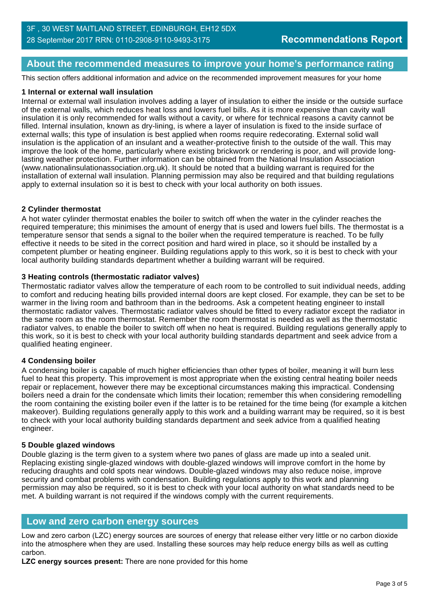## **About the recommended measures to improve your home's performance rating**

This section offers additional information and advice on the recommended improvement measures for your home

#### **1 Internal or external wall insulation**

Internal or external wall insulation involves adding a layer of insulation to either the inside or the outside surface of the external walls, which reduces heat loss and lowers fuel bills. As it is more expensive than cavity wall insulation it is only recommended for walls without a cavity, or where for technical reasons a cavity cannot be filled. Internal insulation, known as dry-lining, is where a layer of insulation is fixed to the inside surface of external walls; this type of insulation is best applied when rooms require redecorating. External solid wall insulation is the application of an insulant and a weather-protective finish to the outside of the wall. This may improve the look of the home, particularly where existing brickwork or rendering is poor, and will provide longlasting weather protection. Further information can be obtained from the National Insulation Association (www.nationalinsulationassociation.org.uk). It should be noted that a building warrant is required for the installation of external wall insulation. Planning permission may also be required and that building regulations apply to external insulation so it is best to check with your local authority on both issues.

#### **2 Cylinder thermostat**

A hot water cylinder thermostat enables the boiler to switch off when the water in the cylinder reaches the required temperature; this minimises the amount of energy that is used and lowers fuel bills. The thermostat is a temperature sensor that sends a signal to the boiler when the required temperature is reached. To be fully effective it needs to be sited in the correct position and hard wired in place, so it should be installed by a competent plumber or heating engineer. Building regulations apply to this work, so it is best to check with your local authority building standards department whether a building warrant will be required.

#### **3 Heating controls (thermostatic radiator valves)**

Thermostatic radiator valves allow the temperature of each room to be controlled to suit individual needs, adding to comfort and reducing heating bills provided internal doors are kept closed. For example, they can be set to be warmer in the living room and bathroom than in the bedrooms. Ask a competent heating engineer to install thermostatic radiator valves. Thermostatic radiator valves should be fitted to every radiator except the radiator in the same room as the room thermostat. Remember the room thermostat is needed as well as the thermostatic radiator valves, to enable the boiler to switch off when no heat is required. Building regulations generally apply to this work, so it is best to check with your local authority building standards department and seek advice from a qualified heating engineer.

#### **4 Condensing boiler**

A condensing boiler is capable of much higher efficiencies than other types of boiler, meaning it will burn less fuel to heat this property. This improvement is most appropriate when the existing central heating boiler needs repair or replacement, however there may be exceptional circumstances making this impractical. Condensing boilers need a drain for the condensate which limits their location; remember this when considering remodelling the room containing the existing boiler even if the latter is to be retained for the time being (for example a kitchen makeover). Building regulations generally apply to this work and a building warrant may be required, so it is best to check with your local authority building standards department and seek advice from a qualified heating engineer.

#### **5 Double glazed windows**

Double glazing is the term given to a system where two panes of glass are made up into a sealed unit. Replacing existing single-glazed windows with double-glazed windows will improve comfort in the home by reducing draughts and cold spots near windows. Double-glazed windows may also reduce noise, improve security and combat problems with condensation. Building regulations apply to this work and planning permission may also be required, so it is best to check with your local authority on what standards need to be met. A building warrant is not required if the windows comply with the current requirements.

#### **Low and zero carbon energy sources**

Low and zero carbon (LZC) energy sources are sources of energy that release either very little or no carbon dioxide into the atmosphere when they are used. Installing these sources may help reduce energy bills as well as cutting carbon.

**LZC energy sources present:** There are none provided for this home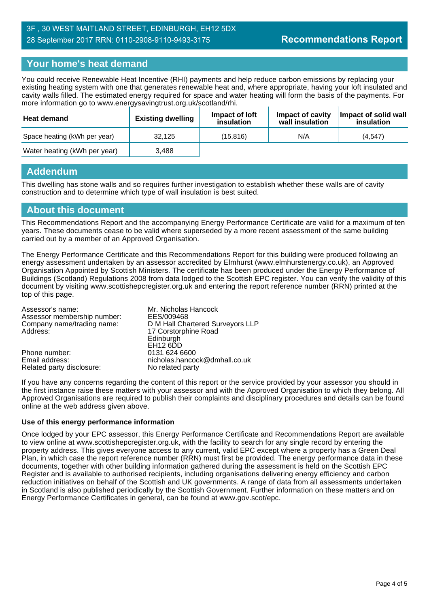# **Your home's heat demand**

You could receive Renewable Heat Incentive (RHI) payments and help reduce carbon emissions by replacing your existing heating system with one that generates renewable heat and, where appropriate, having your loft insulated and cavity walls filled. The estimated energy required for space and water heating will form the basis of the payments. For more information go to www.energysavingtrust.org.uk/scotland/rhi.

| <b>Heat demand</b>           | <b>Existing dwelling</b> | Impact of Joft<br>insulation | Impact of cavity<br>wall insulation | Impact of solid wall<br>insulation |
|------------------------------|--------------------------|------------------------------|-------------------------------------|------------------------------------|
| Space heating (kWh per year) | 32.125                   | (15.816)                     | N/A                                 | (4,547)                            |
| Water heating (kWh per year) | 3.488                    |                              |                                     |                                    |

#### **Addendum**

This dwelling has stone walls and so requires further investigation to establish whether these walls are of cavity construction and to determine which type of wall insulation is best suited.

#### **About this document**

This Recommendations Report and the accompanying Energy Performance Certificate are valid for a maximum of ten years. These documents cease to be valid where superseded by a more recent assessment of the same building carried out by a member of an Approved Organisation.

The Energy Performance Certificate and this Recommendations Report for this building were produced following an energy assessment undertaken by an assessor accredited by Elmhurst (www.elmhurstenergy.co.uk), an Approved Organisation Appointed by Scottish Ministers. The certificate has been produced under the Energy Performance of Buildings (Scotland) Regulations 2008 from data lodged to the Scottish EPC register. You can verify the validity of this document by visiting www.scottishepcregister.org.uk and entering the report reference number (RRN) printed at the top of this page.

| Assessor's name:<br>Assessor membership number: | Mr. Nicholas Hancock<br>EES/009468 |
|-------------------------------------------------|------------------------------------|
| Company name/trading name:                      | D M Hall Chartered Surveyors LLP   |
| Address:                                        | 17 Corstorphine Road               |
|                                                 | Edinburgh                          |
|                                                 | EH12 6DD                           |
| Phone number:                                   | 0131 624 6600                      |
| Email address:                                  | nicholas.hancock@dmhall.co.uk      |
| Related party disclosure:                       | No related party                   |

If you have any concerns regarding the content of this report or the service provided by your assessor you should in the first instance raise these matters with your assessor and with the Approved Organisation to which they belong. All Approved Organisations are required to publish their complaints and disciplinary procedures and details can be found online at the web address given above.

#### **Use of this energy performance information**

Once lodged by your EPC assessor, this Energy Performance Certificate and Recommendations Report are available to view online at www.scottishepcregister.org.uk, with the facility to search for any single record by entering the property address. This gives everyone access to any current, valid EPC except where a property has a Green Deal Plan, in which case the report reference number (RRN) must first be provided. The energy performance data in these documents, together with other building information gathered during the assessment is held on the Scottish EPC Register and is available to authorised recipients, including organisations delivering energy efficiency and carbon reduction initiatives on behalf of the Scottish and UK governments. A range of data from all assessments undertaken in Scotland is also published periodically by the Scottish Government. Further information on these matters and on Energy Performance Certificates in general, can be found at www.gov.scot/epc.